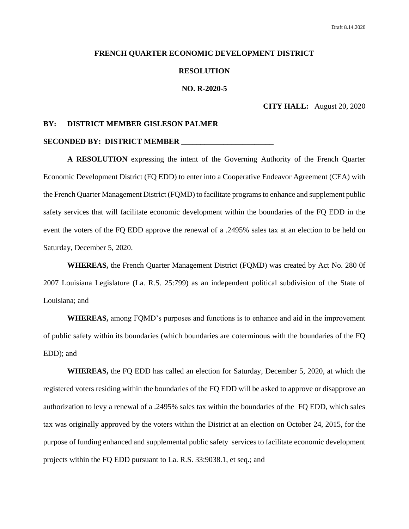#### **FRENCH QUARTER ECONOMIC DEVELOPMENT DISTRICT**

#### **RESOLUTION**

#### **NO. R-2020-5**

## **CITY HALL:** August 20, 2020

#### **BY: DISTRICT MEMBER GISLESON PALMER**

#### **SECONDED BY: DISTRICT MEMBER \_\_\_\_\_\_\_\_\_\_\_\_\_\_\_\_\_\_\_\_\_\_\_\_**

**A RESOLUTION** expressing the intent of the Governing Authority of the French Quarter Economic Development District (FQ EDD) to enter into a Cooperative Endeavor Agreement (CEA) with the French Quarter Management District (FQMD) to facilitate programs to enhance and supplement public safety services that will facilitate economic development within the boundaries of the FQ EDD in the event the voters of the FQ EDD approve the renewal of a .2495% sales tax at an election to be held on Saturday, December 5, 2020.

**WHEREAS,** the French Quarter Management District (FQMD) was created by Act No. 280 0f 2007 Louisiana Legislature (La. R.S. 25:799) as an independent political subdivision of the State of Louisiana; and

**WHEREAS,** among FQMD's purposes and functions is to enhance and aid in the improvement of public safety within its boundaries (which boundaries are coterminous with the boundaries of the FQ EDD); and

**WHEREAS,** the FQ EDD has called an election for Saturday, December 5, 2020, at which the registered voters residing within the boundaries of the FQ EDD will be asked to approve or disapprove an authorization to levy a renewal of a .2495% sales tax within the boundaries of the FQ EDD, which sales tax was originally approved by the voters within the District at an election on October 24, 2015, for the purpose of funding enhanced and supplemental public safety services to facilitate economic development projects within the FQ EDD pursuant to La. R.S. 33:9038.1, et seq.; and